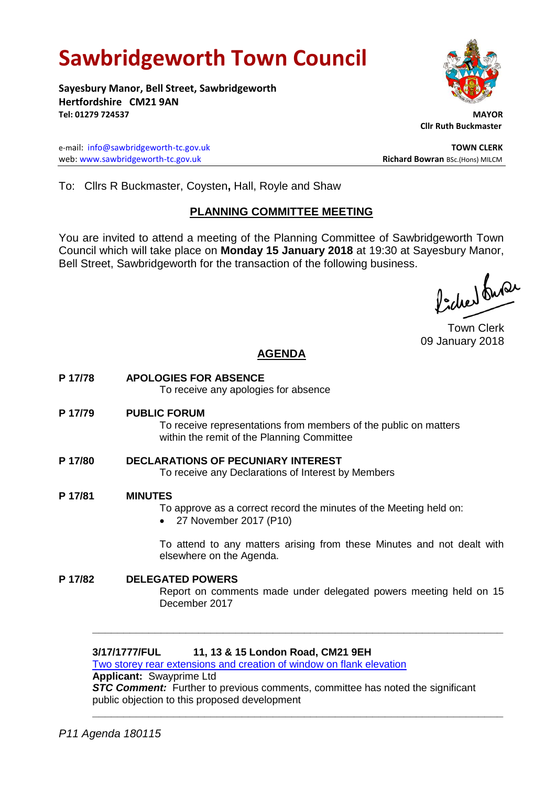# **Sawbridgeworth Town Council**

**Sayesbury Manor, Bell Street, Sawbridgeworth Hertfordshire CM21 9AN Tel: 01279 724537 MAYOR**

e-mail: [info@sawbridgeworth-tc.gov.uk](mailto:info@sawbridgeworth-tc.gov.uk) **TOWN CLERK** web: www.sawbridgeworth-tc.gov.uk<br> **Richard Bowran** BSc.(Hons) MILCM

 **Cllr Ruth Buckmaster** 

To: Cllrs R Buckmaster, Coysten**,** Hall, Royle and Shaw

# **PLANNING COMMITTEE MEETING**

You are invited to attend a meeting of the Planning Committee of Sawbridgeworth Town Council which will take place on **Monday 15 January 2018** at 19:30 at Sayesbury Manor, Bell Street, Sawbridgeworth for the transaction of the following business.

fidee buse

Town Clerk 09 January 2018

# **AGENDA**

**P 17/78 APOLOGIES FOR ABSENCE**

To receive any apologies for absence

**P 17/79 PUBLIC FORUM**

To receive representations from members of the public on matters within the remit of the Planning Committee

- **P 17/80 DECLARATIONS OF PECUNIARY INTEREST** To receive any Declarations of Interest by Members
- **P 17/81 MINUTES**
	- To approve as a correct record the minutes of the Meeting held on:
	- 27 November 2017 (P10)

To attend to any matters arising from these Minutes and not dealt with elsewhere on the Agenda.

**P 17/82 DELEGATED POWERS** Report on comments made under delegated powers meeting held on 15 December 2017

**\_\_\_\_\_\_\_\_\_\_\_\_\_\_\_\_\_\_\_\_\_\_\_\_\_\_\_\_\_\_\_\_\_\_\_\_\_\_\_\_\_\_\_\_\_\_\_\_\_\_\_\_\_\_\_\_\_\_\_\_\_\_\_\_\_\_**

# **3/17/1777/FUL 11, 13 & 15 London Road, CM21 9EH**

[Two storey rear extensions and creation of window on flank elevation](https://publicaccess.eastherts.gov.uk/online-applications/applicationDetails.do?keyVal=OTQM7BGLHV200&activeTab=summary) **Applicant:** Swayprime Ltd

**STC Comment:** Further to previous comments, committee has noted the significant public objection to this proposed development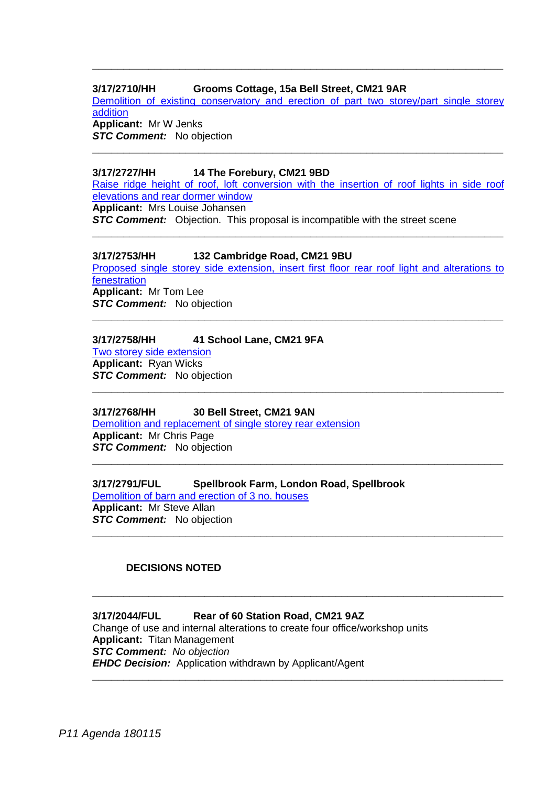# **3/17/2710/HH Grooms Cottage, 15a Bell Street, CM21 9AR**

[Demolition of existing conservatory and erection of part two storey/part single storey](https://publicaccess.eastherts.gov.uk/online-applications/applicationDetails.do?keyVal=OZT7LKGLJFY00&activeTab=summary)  [addition](https://publicaccess.eastherts.gov.uk/online-applications/applicationDetails.do?keyVal=OZT7LKGLJFY00&activeTab=summary) **Applicant:** Mr W Jenks

**\_\_\_\_\_\_\_\_\_\_\_\_\_\_\_\_\_\_\_\_\_\_\_\_\_\_\_\_\_\_\_\_\_\_\_\_\_\_\_\_\_\_\_\_\_\_\_\_\_\_\_\_\_\_\_\_\_\_\_\_\_\_\_\_\_\_**

**STC Comment:** No objection **\_\_\_\_\_\_\_\_\_\_\_\_\_\_\_\_\_\_\_\_\_\_\_\_\_\_\_\_\_\_\_\_\_\_\_\_\_\_\_\_\_\_\_\_\_\_\_\_\_\_\_\_\_\_\_\_\_\_\_\_\_\_\_\_\_\_**

#### **3/17/2727/HH 14 The Forebury, CM21 9BD**

[Raise ridge height of roof, loft conversion with the insertion of roof lights](https://publicaccess.eastherts.gov.uk/online-applications/applicationDetails.do?keyVal=OZX82SGLJHB00&activeTab=summary) in side roof [elevations and rear dormer window](https://publicaccess.eastherts.gov.uk/online-applications/applicationDetails.do?keyVal=OZX82SGLJHB00&activeTab=summary) **Applicant:** Mrs Louise Johansen *STC Comment:* Objection. This proposal is incompatible with the street scene

**\_\_\_\_\_\_\_\_\_\_\_\_\_\_\_\_\_\_\_\_\_\_\_\_\_\_\_\_\_\_\_\_\_\_\_\_\_\_\_\_\_\_\_\_\_\_\_\_\_\_\_\_\_\_\_\_\_\_\_\_\_\_\_\_\_\_**

#### **3/17/2753/HH 132 Cambridge Road, CM21 9BU**

[Proposed single storey side extension, insert first floor rear roof light and alterations to](https://publicaccess.eastherts.gov.uk/online-applications/applicationDetails.do?keyVal=P04MPJGLJJ500&activeTab=summary)  [fenestration](https://publicaccess.eastherts.gov.uk/online-applications/applicationDetails.do?keyVal=P04MPJGLJJ500&activeTab=summary) **Applicant:** Mr Tom Lee **STC Comment:** No objection **\_\_\_\_\_\_\_\_\_\_\_\_\_\_\_\_\_\_\_\_\_\_\_\_\_\_\_\_\_\_\_\_\_\_\_\_\_\_\_\_\_\_\_\_\_\_\_\_\_\_\_\_\_\_\_\_\_\_\_\_\_\_\_\_\_\_**

**\_\_\_\_\_\_\_\_\_\_\_\_\_\_\_\_\_\_\_\_\_\_\_\_\_\_\_\_\_\_\_\_\_\_\_\_\_\_\_\_\_\_\_\_\_\_\_\_\_\_\_\_\_\_\_\_\_\_\_\_\_\_\_\_\_\_**

**\_\_\_\_\_\_\_\_\_\_\_\_\_\_\_\_\_\_\_\_\_\_\_\_\_\_\_\_\_\_\_\_\_\_\_\_\_\_\_\_\_\_\_\_\_\_\_\_\_\_\_\_\_\_\_\_\_\_\_\_\_\_\_\_\_\_**

**\_\_\_\_\_\_\_\_\_\_\_\_\_\_\_\_\_\_\_\_\_\_\_\_\_\_\_\_\_\_\_\_\_\_\_\_\_\_\_\_\_\_\_\_\_\_\_\_\_\_\_\_\_\_\_\_\_\_\_\_\_\_\_\_\_\_**

**\_\_\_\_\_\_\_\_\_\_\_\_\_\_\_\_\_\_\_\_\_\_\_\_\_\_\_\_\_\_\_\_\_\_\_\_\_\_\_\_\_\_\_\_\_\_\_\_\_\_\_\_\_\_\_\_\_\_\_\_\_\_\_\_\_\_**

**\_\_\_\_\_\_\_\_\_\_\_\_\_\_\_\_\_\_\_\_\_\_\_\_\_\_\_\_\_\_\_\_\_\_\_\_\_\_\_\_\_\_\_\_\_\_\_\_\_\_\_\_\_\_\_\_\_\_\_\_\_\_\_\_\_\_**

#### **3/17/2758/HH 41 School Lane, CM21 9FA**

[Two storey side extension](https://publicaccess.eastherts.gov.uk/online-applications/applicationDetails.do?keyVal=P04XUXGLJJG00&activeTab=summary) **Applicant:** Ryan Wicks **STC Comment:** No objection

#### **3/17/2768/HH 30 Bell Street, CM21 9AN**

[Demolition and replacement of single storey rear extension](https://publicaccess.eastherts.gov.uk/online-applications/applicationDetails.do?keyVal=P080YTGLJJY00&activeTab=summary) **Applicant:** Mr Chris Page **STC Comment:** No objection

**3/17/2791/FUL Spellbrook Farm, London Road, Spellbrook**

[Demolition of barn and erection of 3 no. houses](https://publicaccess.eastherts.gov.uk/online-applications/applicationDetails.do?keyVal=P0FK4RGL00V00&activeTab=summary) **Applicant:** Mr Steve Allan **STC Comment:** No objection

# **DECISIONS NOTED**

#### **3/17/2044/FUL Rear of 60 Station Road, CM21 9AZ** Change of use and internal alterations to create four office/workshop units

**Applicant:** Titan Management *STC Comment: No objection EHDC Decision:* Application withdrawn by Applicant/Agent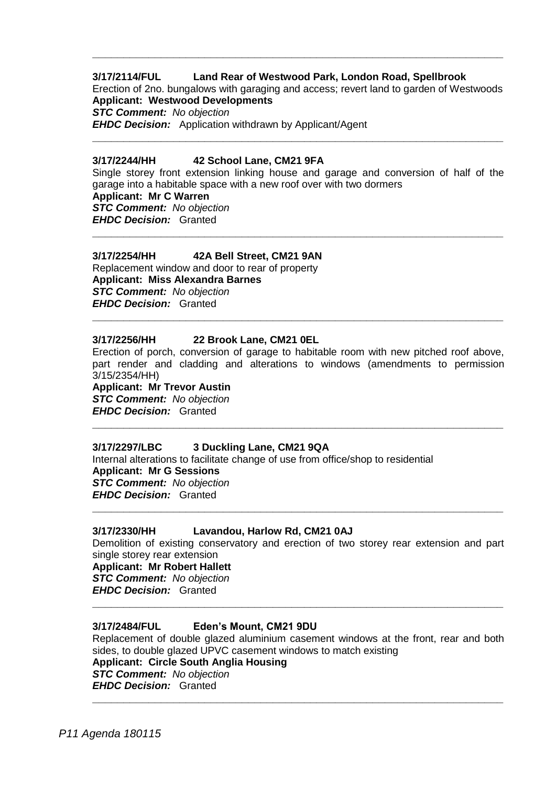# **3/17/2114/FUL Land Rear of Westwood Park, London Road, Spellbrook**

Erection of 2no. bungalows with garaging and access; revert land to garden of Westwoods **Applicant: Westwood Developments**

**\_\_\_\_\_\_\_\_\_\_\_\_\_\_\_\_\_\_\_\_\_\_\_\_\_\_\_\_\_\_\_\_\_\_\_\_\_\_\_\_\_\_\_\_\_\_\_\_\_\_\_\_\_\_\_\_\_\_\_\_\_\_\_\_\_\_**

**\_\_\_\_\_\_\_\_\_\_\_\_\_\_\_\_\_\_\_\_\_\_\_\_\_\_\_\_\_\_\_\_\_\_\_\_\_\_\_\_\_\_\_\_\_\_\_\_\_\_\_\_\_\_\_\_\_\_\_\_\_\_\_\_\_\_**

*STC Comment: No objection EHDC Decision:* Application withdrawn by Applicant/Agent

#### **3/17/2244/HH 42 School Lane, CM21 9FA**

Single storey front extension linking house and garage and conversion of half of the garage into a habitable space with a new roof over with two dormers **Applicant: Mr C Warren** *STC Comment: No objection EHDC Decision:* Granted **\_\_\_\_\_\_\_\_\_\_\_\_\_\_\_\_\_\_\_\_\_\_\_\_\_\_\_\_\_\_\_\_\_\_\_\_\_\_\_\_\_\_\_\_\_\_\_\_\_\_\_\_\_\_\_\_\_\_\_\_\_\_\_\_\_\_**

#### **3/17/2254/HH 42A Bell Street, CM21 9AN**

Replacement window and door to rear of property **Applicant: Miss Alexandra Barnes** *STC Comment: No objection EHDC Decision:* Granted

#### **3/17/2256/HH 22 Brook Lane, CM21 0EL**

Erection of porch, conversion of garage to habitable room with new pitched roof above, part render and cladding and alterations to windows (amendments to permission 3/15/2354/HH)

**\_\_\_\_\_\_\_\_\_\_\_\_\_\_\_\_\_\_\_\_\_\_\_\_\_\_\_\_\_\_\_\_\_\_\_\_\_\_\_\_\_\_\_\_\_\_\_\_\_\_\_\_\_\_\_\_\_\_\_\_\_\_\_\_\_\_**

**\_\_\_\_\_\_\_\_\_\_\_\_\_\_\_\_\_\_\_\_\_\_\_\_\_\_\_\_\_\_\_\_\_\_\_\_\_\_\_\_\_\_\_\_\_\_\_\_\_\_\_\_\_\_\_\_\_\_\_\_\_\_\_\_\_\_**

**Applicant: Mr Trevor Austin**

*STC Comment: No objection EHDC Decision:* Granted

# **3/17/2297/LBC 3 Duckling Lane, CM21 9QA**

Internal alterations to facilitate change of use from office/shop to residential **Applicant: Mr G Sessions** *STC Comment: No objection EHDC Decision:* Granted **\_\_\_\_\_\_\_\_\_\_\_\_\_\_\_\_\_\_\_\_\_\_\_\_\_\_\_\_\_\_\_\_\_\_\_\_\_\_\_\_\_\_\_\_\_\_\_\_\_\_\_\_\_\_\_\_\_\_\_\_\_\_\_\_\_\_**

#### **3/17/2330/HH Lavandou, Harlow Rd, CM21 0AJ**

Demolition of existing conservatory and erection of two storey rear extension and part single storey rear extension

**\_\_\_\_\_\_\_\_\_\_\_\_\_\_\_\_\_\_\_\_\_\_\_\_\_\_\_\_\_\_\_\_\_\_\_\_\_\_\_\_\_\_\_\_\_\_\_\_\_\_\_\_\_\_\_\_\_\_\_\_\_\_\_\_\_\_**

**Applicant: Mr Robert Hallett** *STC Comment: No objection EHDC Decision:* Granted

#### **3/17/2484/FUL Eden's Mount, CM21 9DU**

Replacement of double glazed aluminium casement windows at the front, rear and both sides, to double glazed UPVC casement windows to match existing **Applicant: Circle South Anglia Housing** *STC Comment: No objection EHDC Decision:* Granted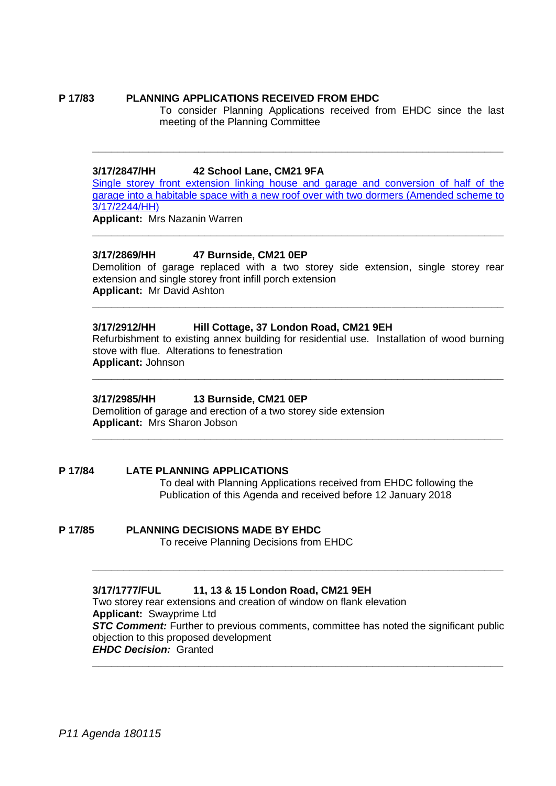### **P 17/83 PLANNING APPLICATIONS RECEIVED FROM EHDC**

To consider Planning Applications received from EHDC since the last meeting of the Planning Committee

#### **3/17/2847/HH 42 School Lane, CM21 9FA**

[Single storey front extension linking house and garage and conversion of half of the](https://publicaccess.eastherts.gov.uk/online-applications/applicationDetails.do?keyVal=P0OOXEGLJOV00&activeTab=summary)  [garage into a habitable space with a new roof over with two dormers \(Amended scheme to](https://publicaccess.eastherts.gov.uk/online-applications/applicationDetails.do?keyVal=P0OOXEGLJOV00&activeTab=summary)  [3/17/2244/HH\)](https://publicaccess.eastherts.gov.uk/online-applications/applicationDetails.do?keyVal=P0OOXEGLJOV00&activeTab=summary)

**\_\_\_\_\_\_\_\_\_\_\_\_\_\_\_\_\_\_\_\_\_\_\_\_\_\_\_\_\_\_\_\_\_\_\_\_\_\_\_\_\_\_\_\_\_\_\_\_\_\_\_\_\_\_\_\_\_\_\_\_\_\_\_\_\_\_**

**\_\_\_\_\_\_\_\_\_\_\_\_\_\_\_\_\_\_\_\_\_\_\_\_\_\_\_\_\_\_\_\_\_\_\_\_\_\_\_\_\_\_\_\_\_\_\_\_\_\_\_\_\_\_\_\_\_\_\_\_\_\_\_\_\_\_**

**Applicant:** Mrs Nazanin Warren

### **3/17/2869/HH 47 Burnside, CM21 0EP**

Demolition of garage replaced with a two storey side extension, single storey rear extension and single storey front infill porch extension **Applicant:** Mr David Ashton

**\_\_\_\_\_\_\_\_\_\_\_\_\_\_\_\_\_\_\_\_\_\_\_\_\_\_\_\_\_\_\_\_\_\_\_\_\_\_\_\_\_\_\_\_\_\_\_\_\_\_\_\_\_\_\_\_\_\_\_\_\_\_\_\_\_\_**

### **3/17/2912/HH Hill Cottage, 37 London Road, CM21 9EH**

Refurbishment to existing annex building for residential use. Installation of wood burning stove with flue. Alterations to fenestration **Applicant:** Johnson

**\_\_\_\_\_\_\_\_\_\_\_\_\_\_\_\_\_\_\_\_\_\_\_\_\_\_\_\_\_\_\_\_\_\_\_\_\_\_\_\_\_\_\_\_\_\_\_\_\_\_\_\_\_\_\_\_\_\_\_\_\_\_\_\_\_\_**

**\_\_\_\_\_\_\_\_\_\_\_\_\_\_\_\_\_\_\_\_\_\_\_\_\_\_\_\_\_\_\_\_\_\_\_\_\_\_\_\_\_\_\_\_\_\_\_\_\_\_\_\_\_\_\_\_\_\_\_\_\_\_\_\_\_\_**

#### **3/17/2985/HH 13 Burnside, CM21 0EP**

Demolition of garage and erection of a two storey side extension **Applicant:** Mrs Sharon Jobson

**P 17/84 LATE PLANNING APPLICATIONS** To deal with Planning Applications received from EHDC following the Publication of this Agenda and received before 12 January 2018

**P 17/85 PLANNING DECISIONS MADE BY EHDC** To receive Planning Decisions from EHDC

> **3/17/1777/FUL 11, 13 & 15 London Road, CM21 9EH** Two storey rear extensions and creation of window on flank elevation **Applicant:** Swayprime Ltd **STC Comment:** Further to previous comments, committee has noted the significant public objection to this proposed development *EHDC Decision:* Granted

**\_\_\_\_\_\_\_\_\_\_\_\_\_\_\_\_\_\_\_\_\_\_\_\_\_\_\_\_\_\_\_\_\_\_\_\_\_\_\_\_\_\_\_\_\_\_\_\_\_\_\_\_\_\_\_\_\_\_\_\_\_\_\_\_\_\_**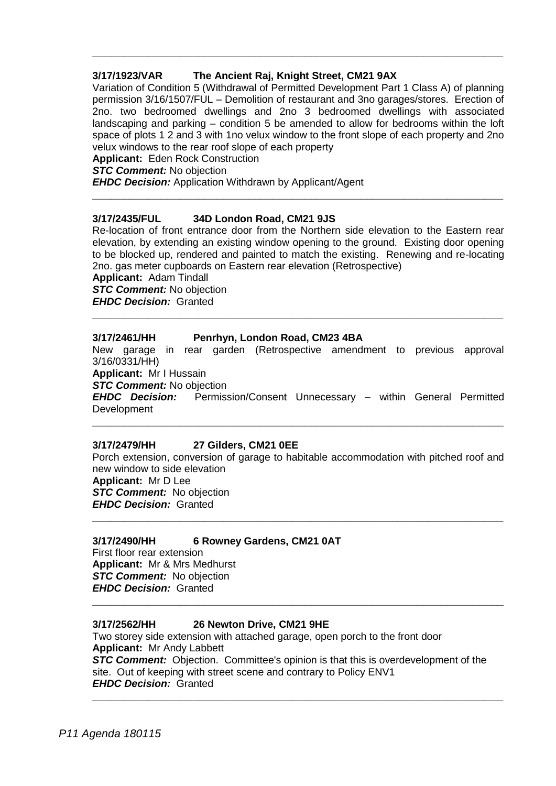# **3/17/1923/VAR The Ancient Raj, Knight Street, CM21 9AX**

Variation of Condition 5 (Withdrawal of Permitted Development Part 1 Class A) of planning permission 3/16/1507/FUL – Demolition of restaurant and 3no garages/stores. Erection of 2no. two bedroomed dwellings and 2no 3 bedroomed dwellings with associated landscaping and parking – condition 5 be amended to allow for bedrooms within the loft space of plots 1 2 and 3 with 1no velux window to the front slope of each property and 2no velux windows to the rear roof slope of each property

**\_\_\_\_\_\_\_\_\_\_\_\_\_\_\_\_\_\_\_\_\_\_\_\_\_\_\_\_\_\_\_\_\_\_\_\_\_\_\_\_\_\_\_\_\_\_\_\_\_\_\_\_\_\_\_\_\_\_\_\_\_\_\_\_\_\_**

**Applicant:** Eden Rock Construction

*STC Comment:* No objection

*EHDC Decision:* Application Withdrawn by Applicant/Agent

### **3/17/2435/FUL 34D London Road, CM21 9JS**

Re-location of front entrance door from the Northern side elevation to the Eastern rear elevation, by extending an existing window opening to the ground. Existing door opening to be blocked up, rendered and painted to match the existing. Renewing and re-locating 2no. gas meter cupboards on Eastern rear elevation (Retrospective)

**\_\_\_\_\_\_\_\_\_\_\_\_\_\_\_\_\_\_\_\_\_\_\_\_\_\_\_\_\_\_\_\_\_\_\_\_\_\_\_\_\_\_\_\_\_\_\_\_\_\_\_\_\_\_\_\_\_\_\_\_\_\_\_\_\_\_**

**Applicant:** Adam Tindall

*STC Comment:* No objection *EHDC Decision:* Granted

### **3/17/2461/HH Penrhyn, London Road, CM23 4BA**

New garage in rear garden (Retrospective amendment to previous approval 3/16/0331/HH)

**\_\_\_\_\_\_\_\_\_\_\_\_\_\_\_\_\_\_\_\_\_\_\_\_\_\_\_\_\_\_\_\_\_\_\_\_\_\_\_\_\_\_\_\_\_\_\_\_\_\_\_\_\_\_\_\_\_\_\_\_\_\_\_\_\_\_**

**Applicant:** Mr I Hussain

*STC Comment:* No objection

*EHDC Decision:* Permission/Consent Unnecessary – within General Permitted **Development** 

**\_\_\_\_\_\_\_\_\_\_\_\_\_\_\_\_\_\_\_\_\_\_\_\_\_\_\_\_\_\_\_\_\_\_\_\_\_\_\_\_\_\_\_\_\_\_\_\_\_\_\_\_\_\_\_\_\_\_\_\_\_\_\_\_\_\_**

#### **3/17/2479/HH 27 Gilders, CM21 0EE**

Porch extension, conversion of garage to habitable accommodation with pitched roof and new window to side elevation **Applicant:** Mr D Lee *STC Comment:* No objection *EHDC Decision:* Granted **\_\_\_\_\_\_\_\_\_\_\_\_\_\_\_\_\_\_\_\_\_\_\_\_\_\_\_\_\_\_\_\_\_\_\_\_\_\_\_\_\_\_\_\_\_\_\_\_\_\_\_\_\_\_\_\_\_\_\_\_\_\_\_\_\_\_**

# **3/17/2490/HH 6 Rowney Gardens, CM21 0AT** First floor rear extension **Applicant:** Mr & Mrs Medhurst

*STC Comment:* No objection *EHDC Decision:* Granted

# **3/17/2562/HH 26 Newton Drive, CM21 9HE**

Two storey side extension with attached garage, open porch to the front door **Applicant:** Mr Andy Labbett *STC Comment:* Objection. Committee's opinion is that this is overdevelopment of the site. Out of keeping with street scene and contrary to Policy ENV1 *EHDC Decision:* Granted

**\_\_\_\_\_\_\_\_\_\_\_\_\_\_\_\_\_\_\_\_\_\_\_\_\_\_\_\_\_\_\_\_\_\_\_\_\_\_\_\_\_\_\_\_\_\_\_\_\_\_\_\_\_\_\_\_\_\_\_\_\_\_\_\_\_\_**